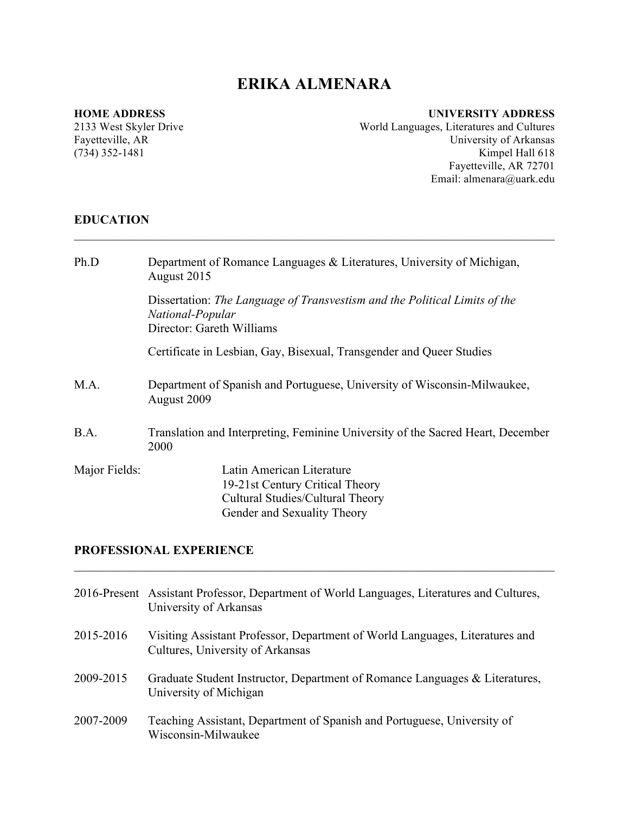# **ERIKA ALMENARA**

 $\mathcal{L}_\mathcal{L} = \{ \mathcal{L}_\mathcal{L} = \{ \mathcal{L}_\mathcal{L} = \{ \mathcal{L}_\mathcal{L} = \{ \mathcal{L}_\mathcal{L} = \{ \mathcal{L}_\mathcal{L} = \{ \mathcal{L}_\mathcal{L} = \{ \mathcal{L}_\mathcal{L} = \{ \mathcal{L}_\mathcal{L} = \{ \mathcal{L}_\mathcal{L} = \{ \mathcal{L}_\mathcal{L} = \{ \mathcal{L}_\mathcal{L} = \{ \mathcal{L}_\mathcal{L} = \{ \mathcal{L}_\mathcal{L} = \{ \mathcal{L}_\mathcal{$ 

#### **HOME ADDRESS**

2133 West Skyler Drive Fayetteville, AR (734) 352-1481

#### **UNIVERSITY ADDRESS**

World Languages, Literatures and Cultures University of Arkansas Kimpel Hall 618 Fayetteville, AR 72701 Email: almenara@uark.edu

### **EDUCATION**

| Ph.D          | Department of Romance Languages $&$ Literatures, University of Michigan,<br>August 2015                                         |
|---------------|---------------------------------------------------------------------------------------------------------------------------------|
|               | Dissertation: The Language of Transvestism and the Political Limits of the<br>National-Popular<br>Director: Gareth Williams     |
|               | Certificate in Lesbian, Gay, Bisexual, Transgender and Queer Studies                                                            |
| M.A.          | Department of Spanish and Portuguese, University of Wisconsin-Milwaukee,<br>August 2009                                         |
| B.A.          | Translation and Interpreting, Feminine University of the Sacred Heart, December<br>2000                                         |
| Major Fields: | Latin American Literature<br>19-21st Century Critical Theory<br>Cultural Studies/Cultural Theory<br>Gender and Sexuality Theory |

# **PROFESSIONAL EXPERIENCE**

|           | 2016-Present Assistant Professor, Department of World Languages, Literatures and Cultures,<br>University of Arkansas |
|-----------|----------------------------------------------------------------------------------------------------------------------|
| 2015-2016 | Visiting Assistant Professor, Department of World Languages, Literatures and<br>Cultures, University of Arkansas     |
| 2009-2015 | Graduate Student Instructor, Department of Romance Languages $\&$ Literatures,<br>University of Michigan             |
| 2007-2009 | Teaching Assistant, Department of Spanish and Portuguese, University of<br>Wisconsin-Milwaukee                       |

 $\mathcal{L}_\mathcal{L} = \{ \mathcal{L}_\mathcal{L} = \{ \mathcal{L}_\mathcal{L} = \{ \mathcal{L}_\mathcal{L} = \{ \mathcal{L}_\mathcal{L} = \{ \mathcal{L}_\mathcal{L} = \{ \mathcal{L}_\mathcal{L} = \{ \mathcal{L}_\mathcal{L} = \{ \mathcal{L}_\mathcal{L} = \{ \mathcal{L}_\mathcal{L} = \{ \mathcal{L}_\mathcal{L} = \{ \mathcal{L}_\mathcal{L} = \{ \mathcal{L}_\mathcal{L} = \{ \mathcal{L}_\mathcal{L} = \{ \mathcal{L}_\mathcal{$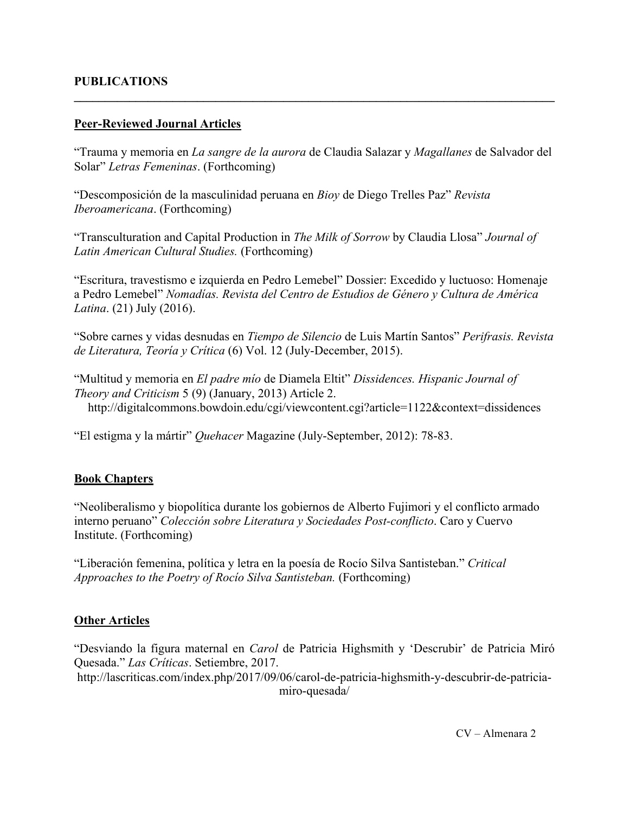## **PUBLICATIONS**

### **Peer-Reviewed Journal Articles**

"Trauma y memoria en *La sangre de la aurora* de Claudia Salazar y *Magallanes* de Salvador del Solar" *Letras Femeninas*. (Forthcoming)

 $\mathcal{L}_\mathcal{L} = \{ \mathcal{L}_\mathcal{L} = \{ \mathcal{L}_\mathcal{L} = \{ \mathcal{L}_\mathcal{L} = \{ \mathcal{L}_\mathcal{L} = \{ \mathcal{L}_\mathcal{L} = \{ \mathcal{L}_\mathcal{L} = \{ \mathcal{L}_\mathcal{L} = \{ \mathcal{L}_\mathcal{L} = \{ \mathcal{L}_\mathcal{L} = \{ \mathcal{L}_\mathcal{L} = \{ \mathcal{L}_\mathcal{L} = \{ \mathcal{L}_\mathcal{L} = \{ \mathcal{L}_\mathcal{L} = \{ \mathcal{L}_\mathcal{$ 

"Descomposición de la masculinidad peruana en *Bioy* de Diego Trelles Paz" *Revista Iberoamericana*. (Forthcoming)

"Transculturation and Capital Production in *The Milk of Sorrow* by Claudia Llosa" *Journal of Latin American Cultural Studies.* (Forthcoming)

"Escritura, travestismo e izquierda en Pedro Lemebel" Dossier: Excedido y luctuoso: Homenaje a Pedro Lemebel" *Nomadías. Revista del Centro de Estudios de Género y Cultura de América Latina*. (21) July (2016).

"Sobre carnes y vidas desnudas en *Tiempo de Silencio* de Luis Martín Santos" *Perifrasis. Revista de Literatura, Teoría y Crítica* (6) Vol. 12 (July-December, 2015).

"Multitud y memoria en *El padre mío* de Diamela Eltit" *Dissidences. Hispanic Journal of Theory and Criticism* 5 (9) (January, 2013) Article 2. http://digitalcommons.bowdoin.edu/cgi/viewcontent.cgi?article=1122&context=dissidences

"El estigma y la mártir" *Quehacer* Magazine (July-September, 2012): 78-83.

## **Book Chapters**

"Neoliberalismo y biopolítica durante los gobiernos de Alberto Fujimori y el conflicto armado interno peruano" *Colección sobre Literatura y Sociedades Post-conflicto*. Caro y Cuervo Institute. (Forthcoming)

"Liberación femenina, política y letra en la poesía de Rocío Silva Santisteban." *Critical Approaches to the Poetry of Rocío Silva Santisteban.* (Forthcoming)

### **Other Articles**

"Desviando la figura maternal en *Carol* de Patricia Highsmith y 'Descrubir' de Patricia Miró Quesada." *Las Críticas*. Setiembre, 2017. http://lascriticas.com/index.php/2017/09/06/carol-de-patricia-highsmith-y-descubrir-de-patriciamiro-quesada/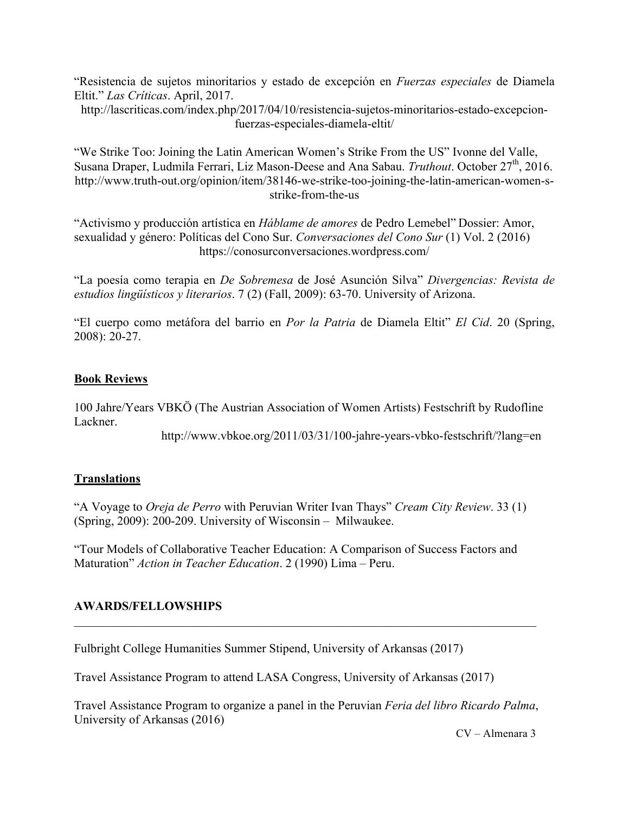"Resistencia de sujetos minoritarios y estado de excepción en *Fuerzas especiales* de Diamela Eltit." *Las Críticas*. April, 2017.

http://lascriticas.com/index.php/2017/04/10/resistencia-sujetos-minoritarios-estado-excepcionfuerzas-especiales-diamela-eltit/

"We Strike Too: Joining the Latin American Women's Strike From the US" Ivonne del Valle, Susana Draper, Ludmila Ferrari, Liz Mason-Deese and Ana Sabau. *Truthout*. October 27th, 2016. http://www.truth-out.org/opinion/item/38146-we-strike-too-joining-the-latin-american-women-sstrike-from-the-us

"Activismo y producción artística en *Háblame de amores* de Pedro Lemebel" Dossier: Amor, sexualidad y género: Políticas del Cono Sur. *Conversaciones del Cono Sur* (1) Vol. 2 (2016) https://conosurconversaciones.wordpress.com/

"La poesía como terapia en *De Sobremesa* de José Asunción Silva" *Divergencias: Revista de estudios lingüísticos y literarios*. 7 (2) (Fall, 2009): 63-70. University of Arizona.

"El cuerpo como metáfora del barrio en *Por la Patria* de Diamela Eltit" *El Cid*. 20 (Spring, 2008): 20-27.

### **Book Reviews**

100 Jahre/Years VBKÖ (The Austrian Association of Women Artists) Festschrift by Rudofline Lackner.

http://www.vbkoe.org/2011/03/31/100-jahre-years-vbko-festschrift/?lang=en

## **Translations**

"A Voyage to *Oreja de Perro* with Peruvian Writer Ivan Thays" *Cream City Review*. 33 (1) (Spring, 2009): 200-209. University of Wisconsin – Milwaukee.

"Tour Models of Collaborative Teacher Education: A Comparison of Success Factors and Maturation" *Action in Teacher Education*. 2 (1990) Lima – Peru.

## **AWARDS/FELLOWSHIPS**

Fulbright College Humanities Summer Stipend, University of Arkansas (2017)

Travel Assistance Program to attend LASA Congress, University of Arkansas (2017)

Travel Assistance Program to organize a panel in the Peruvian *Feria del libro Ricardo Palma*, University of Arkansas (2016)

 $\mathcal{L}_\mathcal{L} = \{ \mathcal{L}_\mathcal{L} = \{ \mathcal{L}_\mathcal{L} = \{ \mathcal{L}_\mathcal{L} = \{ \mathcal{L}_\mathcal{L} = \{ \mathcal{L}_\mathcal{L} = \{ \mathcal{L}_\mathcal{L} = \{ \mathcal{L}_\mathcal{L} = \{ \mathcal{L}_\mathcal{L} = \{ \mathcal{L}_\mathcal{L} = \{ \mathcal{L}_\mathcal{L} = \{ \mathcal{L}_\mathcal{L} = \{ \mathcal{L}_\mathcal{L} = \{ \mathcal{L}_\mathcal{L} = \{ \mathcal{L}_\mathcal{$ 

CV – Almenara 3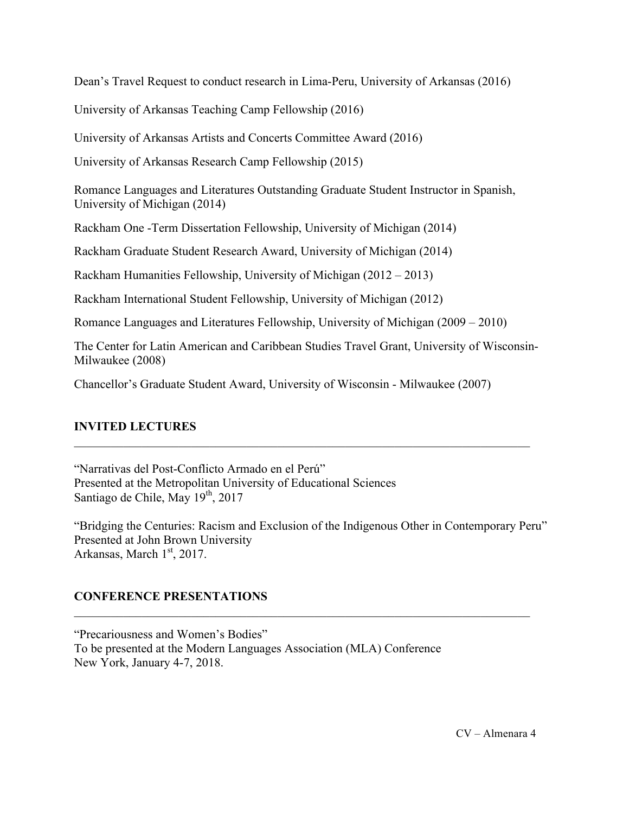Dean's Travel Request to conduct research in Lima-Peru, University of Arkansas (2016)

University of Arkansas Teaching Camp Fellowship (2016)

University of Arkansas Artists and Concerts Committee Award (2016)

University of Arkansas Research Camp Fellowship (2015)

Romance Languages and Literatures Outstanding Graduate Student Instructor in Spanish, University of Michigan (2014)

Rackham One -Term Dissertation Fellowship, University of Michigan (2014)

Rackham Graduate Student Research Award, University of Michigan (2014)

Rackham Humanities Fellowship, University of Michigan (2012 – 2013)

Rackham International Student Fellowship, University of Michigan (2012)

Romance Languages and Literatures Fellowship, University of Michigan (2009 – 2010)

The Center for Latin American and Caribbean Studies Travel Grant, University of Wisconsin-Milwaukee (2008)

 $\mathcal{L}_\text{max}$  , and the contribution of the contribution of the contribution of the contribution of the contribution of the contribution of the contribution of the contribution of the contribution of the contribution of t

Chancellor's Graduate Student Award, University of Wisconsin - Milwaukee (2007)

# **INVITED LECTURES**

"Narrativas del Post-Conflicto Armado en el Perú" Presented at the Metropolitan University of Educational Sciences Santiago de Chile, May 19<sup>th</sup>, 2017

"Bridging the Centuries: Racism and Exclusion of the Indigenous Other in Contemporary Peru" Presented at John Brown University Arkansas, March 1st, 2017.

 $\mathcal{L}_\text{max}$  , and the contribution of the contribution of the contribution of the contribution of the contribution of the contribution of the contribution of the contribution of the contribution of the contribution of t

# **CONFERENCE PRESENTATIONS**

"Precariousness and Women's Bodies" To be presented at the Modern Languages Association (MLA) Conference New York, January 4-7, 2018.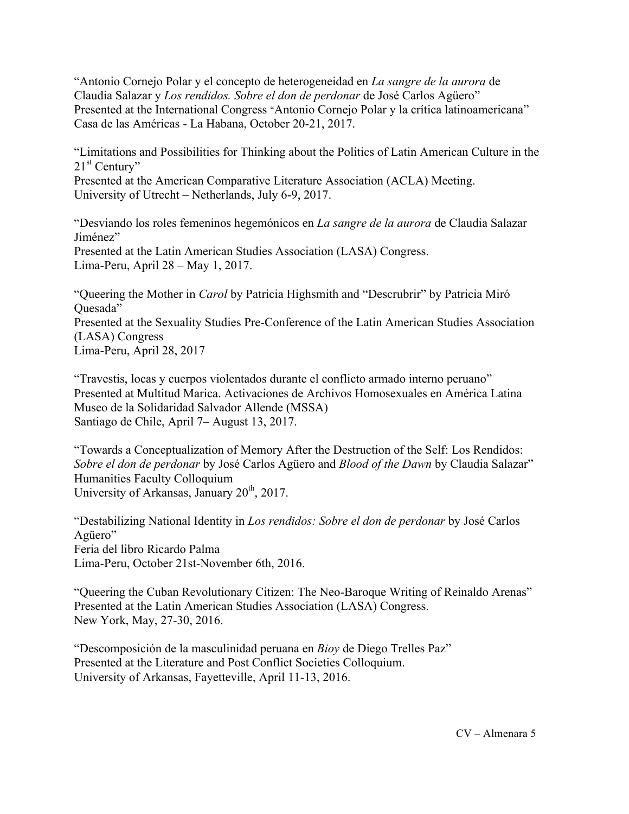"Antonio Cornejo Polar y el concepto de heterogeneidad en *La sangre de la aurora* de Claudia Salazar y *Los rendidos. Sobre el don de perdonar* de José Carlos Agüero" Presented at the International Congress "Antonio Cornejo Polar y la crítica latinoamericana" Casa de las Américas - La Habana, October 20-21, 2017.

"Limitations and Possibilities for Thinking about the Politics of Latin American Culture in the  $21<sup>st</sup>$  Century"

Presented at the American Comparative Literature Association (ACLA) Meeting. University of Utrecht – Netherlands, July 6-9, 2017.

"Desviando los roles femeninos hegemónicos en *La sangre de la aurora* de Claudia Salazar Jiménez" Presented at the Latin American Studies Association (LASA) Congress. Lima-Peru, April 28 – May 1, 2017.

"Queering the Mother in *Carol* by Patricia Highsmith and "Descrubrir" by Patricia Miró Ouesada" Presented at the Sexuality Studies Pre-Conference of the Latin American Studies Association (LASA) Congress Lima-Peru, April 28, 2017

"Travestis, locas y cuerpos violentados durante el conflicto armado interno peruano" Presented at Multitud Marica. Activaciones de Archivos Homosexuales en América Latina Museo de la Solidaridad Salvador Allende (MSSA) Santiago de Chile, April 7– August 13, 2017.

"Towards a Conceptualization of Memory After the Destruction of the Self: Los Rendidos: *Sobre el don de perdonar* by José Carlos Agüero and *Blood of the Dawn* by Claudia Salazar" Humanities Faculty Colloquium University of Arkansas, January 20<sup>th</sup>, 2017.

"Destabilizing National Identity in *Los rendidos: Sobre el don de perdonar* by José Carlos Agüero" Feria del libro Ricardo Palma Lima-Peru, October 21st-November 6th, 2016.

"Queering the Cuban Revolutionary Citizen: The Neo-Baroque Writing of Reinaldo Arenas" Presented at the Latin American Studies Association (LASA) Congress. New York, May, 27-30, 2016.

"Descomposición de la masculinidad peruana en *Bioy* de Diego Trelles Paz" Presented at the Literature and Post Conflict Societies Colloquium. University of Arkansas, Fayetteville, April 11-13, 2016.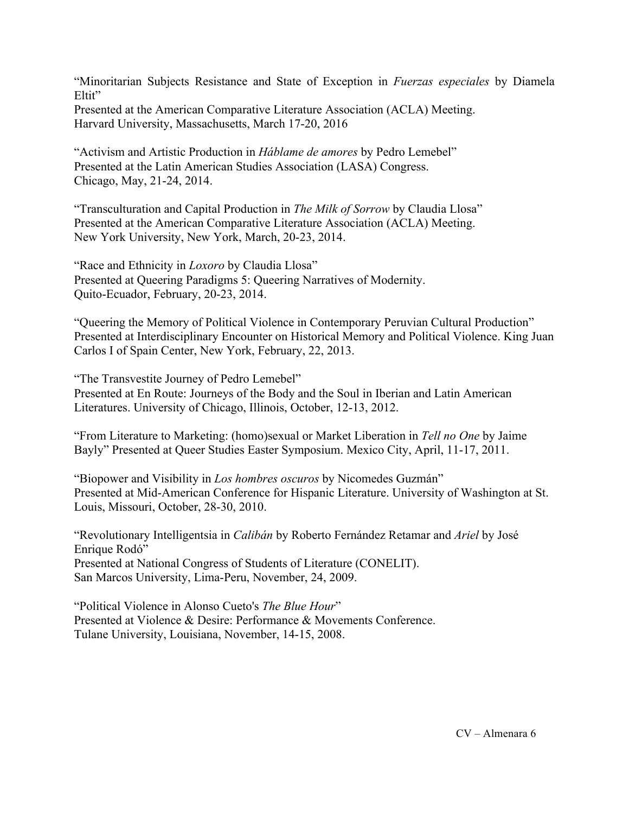"Minoritarian Subjects Resistance and State of Exception in *Fuerzas especiales* by Diamela Eltit"

Presented at the American Comparative Literature Association (ACLA) Meeting. Harvard University, Massachusetts, March 17-20, 2016

"Activism and Artistic Production in *Háblame de amores* by Pedro Lemebel" Presented at the Latin American Studies Association (LASA) Congress. Chicago, May, 21-24, 2014.

"Transculturation and Capital Production in *The Milk of Sorrow* by Claudia Llosa" Presented at the American Comparative Literature Association (ACLA) Meeting. New York University, New York, March, 20-23, 2014.

"Race and Ethnicity in *Loxoro* by Claudia Llosa" Presented at Queering Paradigms 5: Queering Narratives of Modernity. Quito-Ecuador, February, 20-23, 2014.

"Queering the Memory of Political Violence in Contemporary Peruvian Cultural Production" Presented at Interdisciplinary Encounter on Historical Memory and Political Violence. King Juan Carlos I of Spain Center, New York, February, 22, 2013.

"The Transvestite Journey of Pedro Lemebel" Presented at En Route: Journeys of the Body and the Soul in Iberian and Latin American Literatures. University of Chicago, Illinois, October, 12-13, 2012.

"From Literature to Marketing: (homo)sexual or Market Liberation in *Tell no One* by Jaime Bayly" Presented at Queer Studies Easter Symposium. Mexico City, April, 11-17, 2011.

"Biopower and Visibility in *Los hombres oscuros* by Nicomedes Guzmán" Presented at Mid-American Conference for Hispanic Literature. University of Washington at St. Louis, Missouri, October, 28-30, 2010.

"Revolutionary Intelligentsia in *Calibán* by Roberto Fernández Retamar and *Ariel* by José Enrique Rodó" Presented at National Congress of Students of Literature (CONELIT). San Marcos University, Lima-Peru, November, 24, 2009.

"Political Violence in Alonso Cueto's *The Blue Hour*" Presented at Violence & Desire: Performance & Movements Conference. Tulane University, Louisiana, November, 14-15, 2008.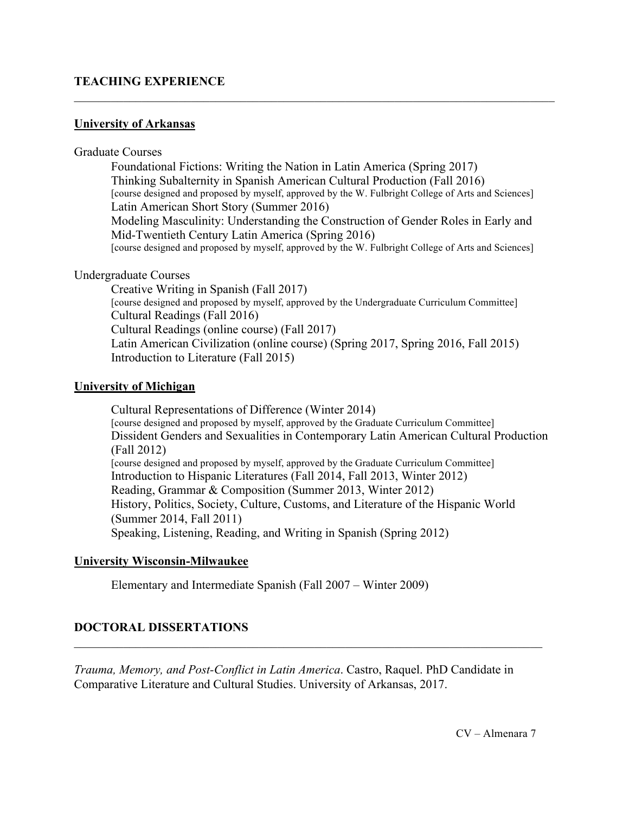### **TEACHING EXPERIENCE**

### **University of Arkansas**

#### Graduate Courses

Foundational Fictions: Writing the Nation in Latin America (Spring 2017) Thinking Subalternity in Spanish American Cultural Production (Fall 2016) [course designed and proposed by myself, approved by the W. Fulbright College of Arts and Sciences] Latin American Short Story (Summer 2016) Modeling Masculinity: Understanding the Construction of Gender Roles in Early and Mid-Twentieth Century Latin America (Spring 2016) [course designed and proposed by myself, approved by the W. Fulbright College of Arts and Sciences]

 $\mathcal{L}_\mathcal{L} = \{ \mathcal{L}_\mathcal{L} = \{ \mathcal{L}_\mathcal{L} = \{ \mathcal{L}_\mathcal{L} = \{ \mathcal{L}_\mathcal{L} = \{ \mathcal{L}_\mathcal{L} = \{ \mathcal{L}_\mathcal{L} = \{ \mathcal{L}_\mathcal{L} = \{ \mathcal{L}_\mathcal{L} = \{ \mathcal{L}_\mathcal{L} = \{ \mathcal{L}_\mathcal{L} = \{ \mathcal{L}_\mathcal{L} = \{ \mathcal{L}_\mathcal{L} = \{ \mathcal{L}_\mathcal{L} = \{ \mathcal{L}_\mathcal{$ 

#### Undergraduate Courses

Creative Writing in Spanish (Fall 2017) [course designed and proposed by myself, approved by the Undergraduate Curriculum Committee] Cultural Readings (Fall 2016) Cultural Readings (online course) (Fall 2017) Latin American Civilization (online course) (Spring 2017, Spring 2016, Fall 2015) Introduction to Literature (Fall 2015)

#### **University of Michigan**

Cultural Representations of Difference (Winter 2014) [course designed and proposed by myself, approved by the Graduate Curriculum Committee] Dissident Genders and Sexualities in Contemporary Latin American Cultural Production (Fall 2012) [course designed and proposed by myself, approved by the Graduate Curriculum Committee] Introduction to Hispanic Literatures (Fall 2014, Fall 2013, Winter 2012) Reading, Grammar & Composition (Summer 2013, Winter 2012) History, Politics, Society, Culture, Customs, and Literature of the Hispanic World (Summer 2014, Fall 2011) Speaking, Listening, Reading, and Writing in Spanish (Spring 2012)

### **University Wisconsin-Milwaukee**

Elementary and Intermediate Spanish (Fall 2007 – Winter 2009)

## **DOCTORAL DISSERTATIONS**

*Trauma, Memory, and Post-Conflict in Latin America*. Castro, Raquel. PhD Candidate in Comparative Literature and Cultural Studies. University of Arkansas, 2017.

 $\mathcal{L}_\text{max}$  , and the contribution of the contribution of the contribution of the contribution of the contribution of the contribution of the contribution of the contribution of the contribution of the contribution of t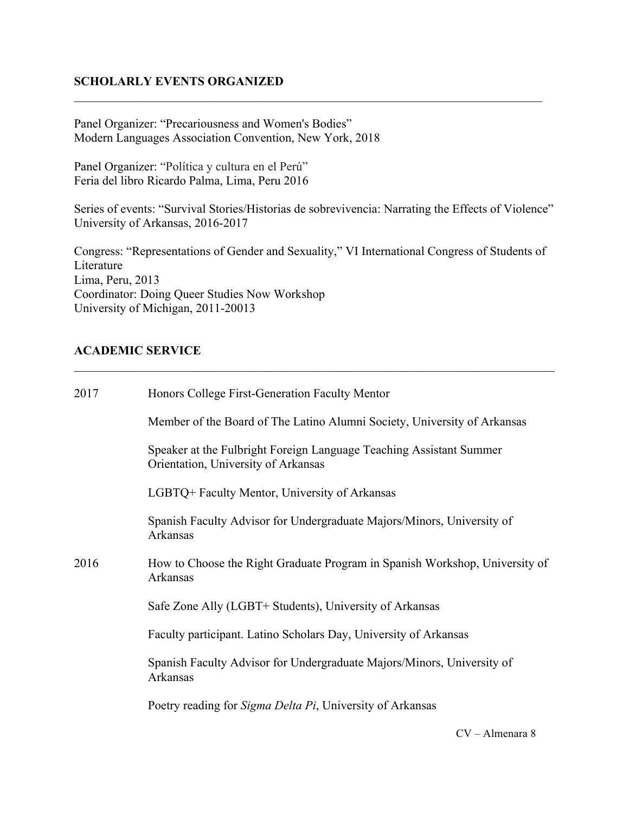# **SCHOLARLY EVENTS ORGANIZED**

Panel Organizer: "Precariousness and Women's Bodies" Modern Languages Association Convention, New York, 2018

Panel Organizer: "Política y cultura en el Perú" Feria del libro Ricardo Palma, Lima, Peru 2016

Series of events: "Survival Stories/Historias de sobrevivencia: Narrating the Effects of Violence" University of Arkansas, 2016-2017

 $\mathcal{L}_\text{max}$  , and the contribution of the contribution of the contribution of the contribution of the contribution of the contribution of the contribution of the contribution of the contribution of the contribution of t

Congress: "Representations of Gender and Sexuality," VI International Congress of Students of Literature Lima, Peru, 2013 Coordinator: Doing Queer Studies Now Workshop University of Michigan, 2011-20013

 $\mathcal{L}_\mathcal{L} = \{ \mathcal{L}_\mathcal{L} = \{ \mathcal{L}_\mathcal{L} = \{ \mathcal{L}_\mathcal{L} = \{ \mathcal{L}_\mathcal{L} = \{ \mathcal{L}_\mathcal{L} = \{ \mathcal{L}_\mathcal{L} = \{ \mathcal{L}_\mathcal{L} = \{ \mathcal{L}_\mathcal{L} = \{ \mathcal{L}_\mathcal{L} = \{ \mathcal{L}_\mathcal{L} = \{ \mathcal{L}_\mathcal{L} = \{ \mathcal{L}_\mathcal{L} = \{ \mathcal{L}_\mathcal{L} = \{ \mathcal{L}_\mathcal{$ 

## **ACADEMIC SERVICE**

| 2017 | Honors College First-Generation Faculty Mentor                                                             |
|------|------------------------------------------------------------------------------------------------------------|
|      | Member of the Board of The Latino Alumni Society, University of Arkansas                                   |
|      | Speaker at the Fulbright Foreign Language Teaching Assistant Summer<br>Orientation, University of Arkansas |
|      | LGBTQ+ Faculty Mentor, University of Arkansas                                                              |
|      | Spanish Faculty Advisor for Undergraduate Majors/Minors, University of<br>Arkansas                         |
| 2016 | How to Choose the Right Graduate Program in Spanish Workshop, University of<br>Arkansas                    |
|      | Safe Zone Ally (LGBT+ Students), University of Arkansas                                                    |
|      | Faculty participant. Latino Scholars Day, University of Arkansas                                           |
|      | Spanish Faculty Advisor for Undergraduate Majors/Minors, University of<br>Arkansas                         |
|      | Poetry reading for <i>Sigma Delta Pi</i> , University of Arkansas                                          |
|      |                                                                                                            |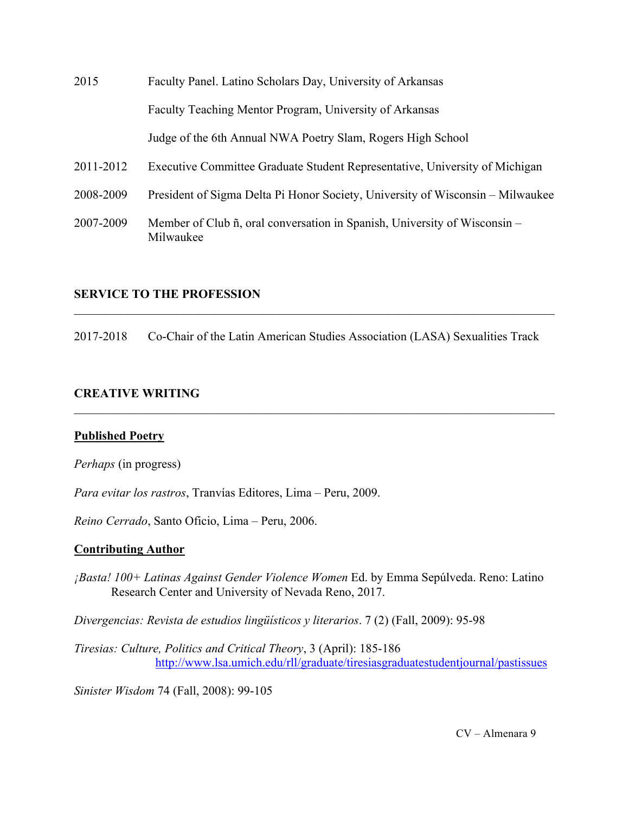| 2015      | Faculty Panel. Latino Scholars Day, University of Arkansas                             |
|-----------|----------------------------------------------------------------------------------------|
|           | Faculty Teaching Mentor Program, University of Arkansas                                |
|           | Judge of the 6th Annual NWA Poetry Slam, Rogers High School                            |
| 2011-2012 | Executive Committee Graduate Student Representative, University of Michigan            |
| 2008-2009 | President of Sigma Delta Pi Honor Society, University of Wisconsin – Milwaukee         |
| 2007-2009 | Member of Club ñ, oral conversation in Spanish, University of Wisconsin –<br>Milwaukee |

### **SERVICE TO THE PROFESSION**

2017-2018 Co-Chair of the Latin American Studies Association (LASA) Sexualities Track

 $\mathcal{L}_\mathcal{L} = \{ \mathcal{L}_\mathcal{L} = \{ \mathcal{L}_\mathcal{L} = \{ \mathcal{L}_\mathcal{L} = \{ \mathcal{L}_\mathcal{L} = \{ \mathcal{L}_\mathcal{L} = \{ \mathcal{L}_\mathcal{L} = \{ \mathcal{L}_\mathcal{L} = \{ \mathcal{L}_\mathcal{L} = \{ \mathcal{L}_\mathcal{L} = \{ \mathcal{L}_\mathcal{L} = \{ \mathcal{L}_\mathcal{L} = \{ \mathcal{L}_\mathcal{L} = \{ \mathcal{L}_\mathcal{L} = \{ \mathcal{L}_\mathcal{$ 

 $\mathcal{L}_\mathcal{L} = \{ \mathcal{L}_\mathcal{L} = \{ \mathcal{L}_\mathcal{L} = \{ \mathcal{L}_\mathcal{L} = \{ \mathcal{L}_\mathcal{L} = \{ \mathcal{L}_\mathcal{L} = \{ \mathcal{L}_\mathcal{L} = \{ \mathcal{L}_\mathcal{L} = \{ \mathcal{L}_\mathcal{L} = \{ \mathcal{L}_\mathcal{L} = \{ \mathcal{L}_\mathcal{L} = \{ \mathcal{L}_\mathcal{L} = \{ \mathcal{L}_\mathcal{L} = \{ \mathcal{L}_\mathcal{L} = \{ \mathcal{L}_\mathcal{$ 

#### **CREATIVE WRITING**

#### **Published Poetry**

*Perhaps* (in progress)

*Para evitar los rastros*, Tranvías Editores, Lima – Peru, 2009.

*Reino Cerrado*, Santo Oficio, Lima – Peru, 2006.

#### **Contributing Author**

*¡Basta! 100+ Latinas Against Gender Violence Women* Ed. by Emma Sepúlveda. Reno: Latino Research Center and University of Nevada Reno, 2017.

*Divergencias: Revista de estudios lingüísticos y literarios*. 7 (2) (Fall, 2009): 95-98

*Tiresias: Culture, Politics and Critical Theory*, 3 (April): 185-186 http://www.lsa.umich.edu/rll/graduate/tiresiasgraduatestudentjournal/pastissues

*Sinister Wisdom* 74 (Fall, 2008): 99-105